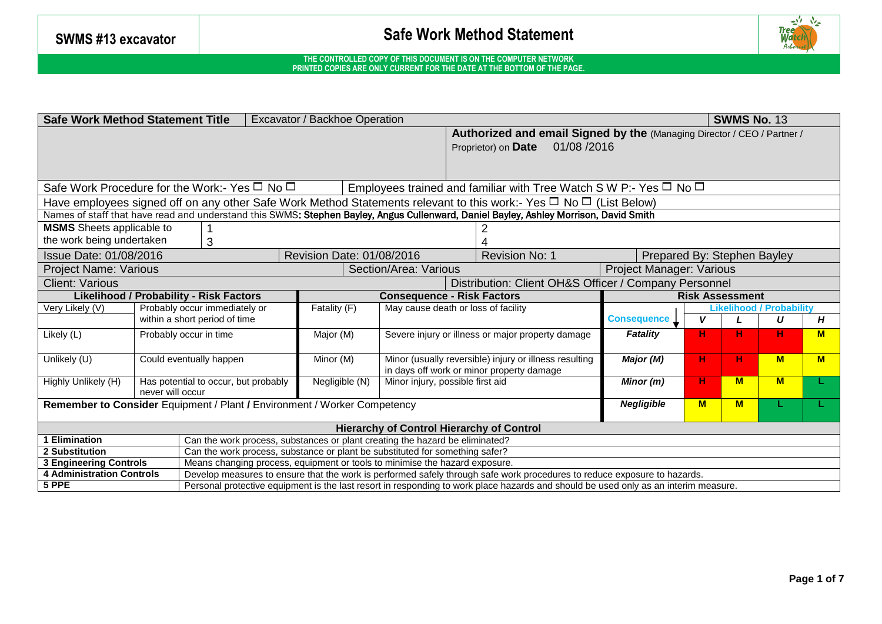

| <b>Safe Work Method Statement Title</b><br><b>SWMS No. 13</b><br>Excavator / Backhoe Operation                                         |                                                                                                                              |                                                                                                                                     |  |  |  |                                                               |                                                                                                                          |                                 |    |          |          |   |  |  |  |
|----------------------------------------------------------------------------------------------------------------------------------------|------------------------------------------------------------------------------------------------------------------------------|-------------------------------------------------------------------------------------------------------------------------------------|--|--|--|---------------------------------------------------------------|--------------------------------------------------------------------------------------------------------------------------|---------------------------------|----|----------|----------|---|--|--|--|
| Authorized and email Signed by the (Managing Director / CEO / Partner /                                                                |                                                                                                                              |                                                                                                                                     |  |  |  |                                                               |                                                                                                                          |                                 |    |          |          |   |  |  |  |
|                                                                                                                                        |                                                                                                                              |                                                                                                                                     |  |  |  |                                                               | 01/08/2016<br>Proprietor) on Date                                                                                        |                                 |    |          |          |   |  |  |  |
|                                                                                                                                        |                                                                                                                              |                                                                                                                                     |  |  |  |                                                               |                                                                                                                          |                                 |    |          |          |   |  |  |  |
|                                                                                                                                        |                                                                                                                              |                                                                                                                                     |  |  |  |                                                               |                                                                                                                          |                                 |    |          |          |   |  |  |  |
| Safe Work Procedure for the Work:- Yes $\Box$ No $\Box$<br>Employees trained and familiar with Tree Watch S W P:- Yes $\Box$ No $\Box$ |                                                                                                                              |                                                                                                                                     |  |  |  |                                                               |                                                                                                                          |                                 |    |          |          |   |  |  |  |
|                                                                                                                                        | Have employees signed off on any other Safe Work Method Statements relevant to this work:- Yes $\Box$ No $\Box$ (List Below) |                                                                                                                                     |  |  |  |                                                               |                                                                                                                          |                                 |    |          |          |   |  |  |  |
| Names of staff that have read and understand this SWMS: Stephen Bayley, Angus Cullenward, Daniel Bayley, Ashley Morrison, David Smith  |                                                                                                                              |                                                                                                                                     |  |  |  |                                                               |                                                                                                                          |                                 |    |          |          |   |  |  |  |
| <b>MSMS</b> Sheets applicable to                                                                                                       |                                                                                                                              |                                                                                                                                     |  |  |  |                                                               |                                                                                                                          |                                 |    |          |          |   |  |  |  |
| the work being undertaken                                                                                                              |                                                                                                                              | 3                                                                                                                                   |  |  |  |                                                               |                                                                                                                          |                                 |    |          |          |   |  |  |  |
| Issue Date: 01/08/2016<br>Revision Date: 01/08/2016                                                                                    |                                                                                                                              |                                                                                                                                     |  |  |  |                                                               | Revision No: 1                                                                                                           | Prepared By: Stephen Bayley     |    |          |          |   |  |  |  |
| Section/Area: Various<br><b>Project Name: Various</b>                                                                                  |                                                                                                                              |                                                                                                                                     |  |  |  |                                                               |                                                                                                                          | Project Manager: Various        |    |          |          |   |  |  |  |
| Distribution: Client OH&S Officer / Company Personnel<br><b>Client: Various</b>                                                        |                                                                                                                              |                                                                                                                                     |  |  |  |                                                               |                                                                                                                          |                                 |    |          |          |   |  |  |  |
| <b>Likelihood / Probability - Risk Factors</b><br><b>Consequence - Risk Factors</b>                                                    |                                                                                                                              |                                                                                                                                     |  |  |  |                                                               |                                                                                                                          | <b>Risk Assessment</b>          |    |          |          |   |  |  |  |
| Very Likely (V)                                                                                                                        |                                                                                                                              | Probably occur immediately or<br>Fatality (F)<br>May cause death or loss of facility                                                |  |  |  |                                                               |                                                                                                                          | <b>Likelihood / Probability</b> |    |          |          |   |  |  |  |
| within a short period of time                                                                                                          |                                                                                                                              |                                                                                                                                     |  |  |  |                                                               | <b>Consequence 1</b>                                                                                                     | V                               |    | U        | Н        |   |  |  |  |
| Likely (L)                                                                                                                             |                                                                                                                              | Major (M)<br>Probably occur in time                                                                                                 |  |  |  | Fatality<br>Severe injury or illness or major property damage |                                                                                                                          |                                 |    |          | н        | M |  |  |  |
|                                                                                                                                        |                                                                                                                              |                                                                                                                                     |  |  |  |                                                               |                                                                                                                          |                                 |    |          |          |   |  |  |  |
| Unlikely (U)                                                                                                                           |                                                                                                                              | Minor (M)<br>Could eventually happen                                                                                                |  |  |  |                                                               | Minor (usually reversible) injury or illness resulting                                                                   | Major (M)                       | н. | н.       | <b>M</b> | M |  |  |  |
|                                                                                                                                        |                                                                                                                              |                                                                                                                                     |  |  |  |                                                               | in days off work or minor property damage                                                                                |                                 |    | <b>M</b> |          |   |  |  |  |
| Highly Unlikely (H)                                                                                                                    | Negligible (N)<br>Has potential to occur, but probably<br>Minor injury, possible first aid<br>never will occur               |                                                                                                                                     |  |  |  |                                                               |                                                                                                                          | Minor $(m)$                     | н. |          | M        |   |  |  |  |
| Remember to Consider Equipment / Plant / Environment / Worker Competency<br><b>Negligible</b><br>M<br><b>M</b>                         |                                                                                                                              |                                                                                                                                     |  |  |  |                                                               |                                                                                                                          |                                 |    |          |          |   |  |  |  |
|                                                                                                                                        |                                                                                                                              |                                                                                                                                     |  |  |  |                                                               |                                                                                                                          |                                 |    |          |          |   |  |  |  |
| <b>Hierarchy of Control Hierarchy of Control</b>                                                                                       |                                                                                                                              |                                                                                                                                     |  |  |  |                                                               |                                                                                                                          |                                 |    |          |          |   |  |  |  |
| Can the work process, substances or plant creating the hazard be eliminated?<br>Elimination                                            |                                                                                                                              |                                                                                                                                     |  |  |  |                                                               |                                                                                                                          |                                 |    |          |          |   |  |  |  |
| 2 Substitution                                                                                                                         |                                                                                                                              | Can the work process, substance or plant be substituted for something safer?                                                        |  |  |  |                                                               |                                                                                                                          |                                 |    |          |          |   |  |  |  |
| <b>3 Engineering Controls</b>                                                                                                          |                                                                                                                              | Means changing process, equipment or tools to minimise the hazard exposure.                                                         |  |  |  |                                                               |                                                                                                                          |                                 |    |          |          |   |  |  |  |
| <b>4 Administration Controls</b>                                                                                                       |                                                                                                                              |                                                                                                                                     |  |  |  |                                                               | Develop measures to ensure that the work is performed safely through safe work procedures to reduce exposure to hazards. |                                 |    |          |          |   |  |  |  |
| 5 PPE                                                                                                                                  |                                                                                                                              | Personal protective equipment is the last resort in responding to work place hazards and should be used only as an interim measure. |  |  |  |                                                               |                                                                                                                          |                                 |    |          |          |   |  |  |  |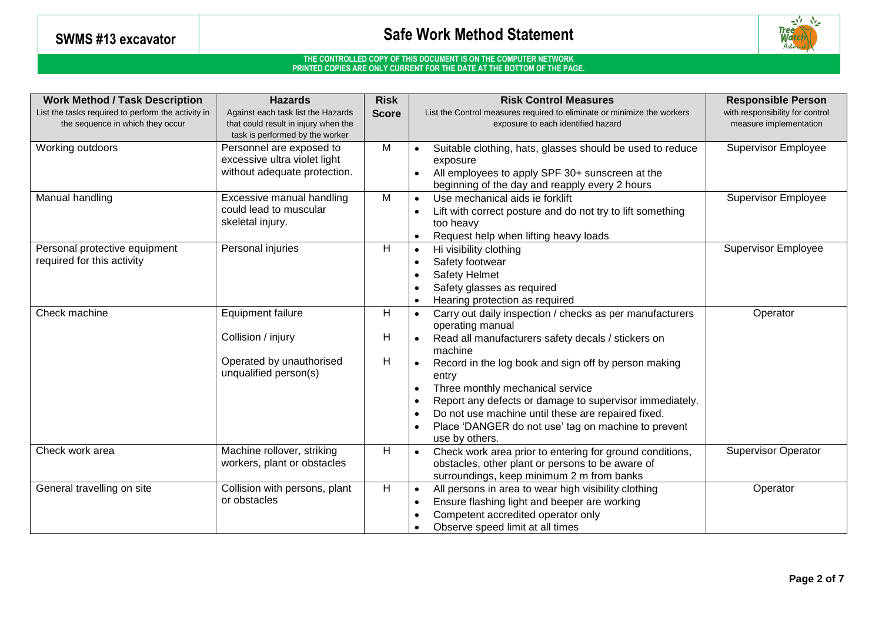

| <b>Work Method / Task Description</b>                                                  | <b>Hazards</b>                                                                                      | <b>Risk</b> | <b>Risk Control Measures</b><br><b>Responsible Person</b>                                                                                                                                                                                                                                                                                                                                                                                                                                                            |
|----------------------------------------------------------------------------------------|-----------------------------------------------------------------------------------------------------|-------------|----------------------------------------------------------------------------------------------------------------------------------------------------------------------------------------------------------------------------------------------------------------------------------------------------------------------------------------------------------------------------------------------------------------------------------------------------------------------------------------------------------------------|
| List the tasks required to perform the activity in<br>the sequence in which they occur | Against each task list the Hazards                                                                  |             | with responsibility for control<br>List the Control measures required to eliminate or minimize the workers                                                                                                                                                                                                                                                                                                                                                                                                           |
|                                                                                        | that could result in injury when the<br>task is performed by the worker                             |             | measure implementation<br>exposure to each identified hazard                                                                                                                                                                                                                                                                                                                                                                                                                                                         |
| Working outdoors                                                                       | Personnel are exposed to<br>excessive ultra violet light<br>without adequate protection.            | M           | Supervisor Employee<br>Suitable clothing, hats, glasses should be used to reduce<br>$\bullet$<br>exposure<br>All employees to apply SPF 30+ sunscreen at the<br>beginning of the day and reapply every 2 hours                                                                                                                                                                                                                                                                                                       |
| Manual handling                                                                        | Excessive manual handling<br>could lead to muscular<br>skeletal injury.                             | M           | <b>Supervisor Employee</b><br>Use mechanical aids ie forklift<br>$\bullet$<br>Lift with correct posture and do not try to lift something<br>too heavy<br>Request help when lifting heavy loads<br>$\bullet$                                                                                                                                                                                                                                                                                                          |
| Personal protective equipment<br>required for this activity                            | Personal injuries                                                                                   | H           | <b>Supervisor Employee</b><br>Hi visibility clothing<br>$\bullet$<br>Safety footwear<br>$\bullet$<br><b>Safety Helmet</b><br>$\bullet$<br>Safety glasses as required<br>Hearing protection as required<br>$\bullet$                                                                                                                                                                                                                                                                                                  |
| Check machine                                                                          | <b>Equipment failure</b><br>Collision / injury<br>Operated by unauthorised<br>unqualified person(s) | H<br>Н<br>Н | Carry out daily inspection / checks as per manufacturers<br>Operator<br>$\bullet$<br>operating manual<br>Read all manufacturers safety decals / stickers on<br>machine<br>Record in the log book and sign off by person making<br>$\bullet$<br>entry<br>Three monthly mechanical service<br>$\bullet$<br>Report any defects or damage to supervisor immediately.<br>$\bullet$<br>Do not use machine until these are repaired fixed.<br>$\bullet$<br>Place 'DANGER do not use' tag on machine to prevent<br>$\bullet$ |
| Check work area                                                                        | Machine rollover, striking<br>workers, plant or obstacles                                           | H           | use by others.<br><b>Supervisor Operator</b><br>Check work area prior to entering for ground conditions,<br>$\bullet$<br>obstacles, other plant or persons to be aware of<br>surroundings, keep minimum 2 m from banks                                                                                                                                                                                                                                                                                               |
| General travelling on site                                                             | Collision with persons, plant<br>or obstacles                                                       | H           | All persons in area to wear high visibility clothing<br>Operator<br>$\bullet$<br>Ensure flashing light and beeper are working<br>$\bullet$<br>Competent accredited operator only<br>$\bullet$<br>Observe speed limit at all times<br>$\bullet$                                                                                                                                                                                                                                                                       |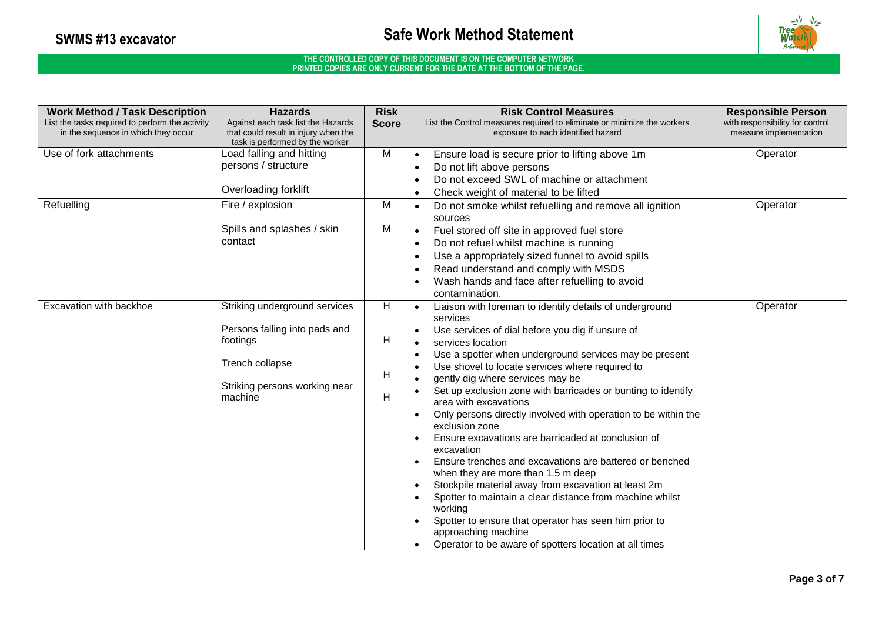

| <b>Work Method / Task Description</b><br>List the tasks required to perform the activity<br>in the sequence in which they occur | <b>Hazards</b><br>Against each task list the Hazards<br>that could result in injury when the<br>task is performed by the worker | <b>Risk</b><br><b>Score</b> | <b>Risk Control Measures</b><br>List the Control measures required to eliminate or minimize the workers<br>exposure to each identified hazard |                                                                                       | <b>Responsible Person</b><br>with responsibility for control<br>measure implementation |
|---------------------------------------------------------------------------------------------------------------------------------|---------------------------------------------------------------------------------------------------------------------------------|-----------------------------|-----------------------------------------------------------------------------------------------------------------------------------------------|---------------------------------------------------------------------------------------|----------------------------------------------------------------------------------------|
| Use of fork attachments                                                                                                         | Load falling and hitting                                                                                                        | M                           | $\bullet$                                                                                                                                     | Ensure load is secure prior to lifting above 1m                                       | Operator                                                                               |
|                                                                                                                                 | persons / structure                                                                                                             |                             |                                                                                                                                               | Do not lift above persons                                                             |                                                                                        |
|                                                                                                                                 |                                                                                                                                 |                             |                                                                                                                                               | Do not exceed SWL of machine or attachment                                            |                                                                                        |
|                                                                                                                                 | Overloading forklift                                                                                                            |                             | $\bullet$                                                                                                                                     | Check weight of material to be lifted                                                 |                                                                                        |
| Refuelling                                                                                                                      | Fire / explosion                                                                                                                | M                           | $\bullet$                                                                                                                                     | Do not smoke whilst refuelling and remove all ignition<br>sources                     | Operator                                                                               |
|                                                                                                                                 | Spills and splashes / skin                                                                                                      | M                           | $\bullet$                                                                                                                                     | Fuel stored off site in approved fuel store                                           |                                                                                        |
|                                                                                                                                 | contact                                                                                                                         |                             |                                                                                                                                               |                                                                                       |                                                                                        |
|                                                                                                                                 |                                                                                                                                 |                             |                                                                                                                                               | Do not refuel whilst machine is running                                               |                                                                                        |
|                                                                                                                                 |                                                                                                                                 |                             |                                                                                                                                               | Use a appropriately sized funnel to avoid spills                                      |                                                                                        |
|                                                                                                                                 |                                                                                                                                 |                             |                                                                                                                                               | Read understand and comply with MSDS                                                  |                                                                                        |
|                                                                                                                                 |                                                                                                                                 |                             |                                                                                                                                               | Wash hands and face after refuelling to avoid                                         |                                                                                        |
|                                                                                                                                 |                                                                                                                                 |                             |                                                                                                                                               | contamination.                                                                        |                                                                                        |
| Excavation with backhoe                                                                                                         | Striking underground services                                                                                                   | H                           | $\bullet$                                                                                                                                     | Liaison with foreman to identify details of underground                               | Operator                                                                               |
|                                                                                                                                 | Persons falling into pads and                                                                                                   |                             |                                                                                                                                               | services                                                                              |                                                                                        |
|                                                                                                                                 | footings                                                                                                                        | Η                           |                                                                                                                                               | Use services of dial before you dig if unsure of                                      |                                                                                        |
|                                                                                                                                 |                                                                                                                                 |                             |                                                                                                                                               | services location                                                                     |                                                                                        |
|                                                                                                                                 | Trench collapse                                                                                                                 |                             |                                                                                                                                               | Use a spotter when underground services may be present                                |                                                                                        |
|                                                                                                                                 |                                                                                                                                 | H                           |                                                                                                                                               | Use shovel to locate services where required to                                       |                                                                                        |
|                                                                                                                                 | Striking persons working near<br>machine                                                                                        |                             |                                                                                                                                               | gently dig where services may be                                                      |                                                                                        |
|                                                                                                                                 |                                                                                                                                 | Η                           |                                                                                                                                               | Set up exclusion zone with barricades or bunting to identify<br>area with excavations |                                                                                        |
|                                                                                                                                 |                                                                                                                                 |                             |                                                                                                                                               | Only persons directly involved with operation to be within the<br>exclusion zone      |                                                                                        |
|                                                                                                                                 |                                                                                                                                 |                             |                                                                                                                                               | Ensure excavations are barricaded at conclusion of                                    |                                                                                        |
|                                                                                                                                 |                                                                                                                                 |                             |                                                                                                                                               | excavation                                                                            |                                                                                        |
|                                                                                                                                 |                                                                                                                                 |                             |                                                                                                                                               | Ensure trenches and excavations are battered or benched                               |                                                                                        |
|                                                                                                                                 |                                                                                                                                 |                             |                                                                                                                                               | when they are more than 1.5 m deep                                                    |                                                                                        |
|                                                                                                                                 |                                                                                                                                 |                             |                                                                                                                                               | Stockpile material away from excavation at least 2m                                   |                                                                                        |
|                                                                                                                                 |                                                                                                                                 |                             |                                                                                                                                               | Spotter to maintain a clear distance from machine whilst<br>working                   |                                                                                        |
|                                                                                                                                 |                                                                                                                                 |                             |                                                                                                                                               | Spotter to ensure that operator has seen him prior to                                 |                                                                                        |
|                                                                                                                                 |                                                                                                                                 |                             |                                                                                                                                               | approaching machine                                                                   |                                                                                        |
|                                                                                                                                 |                                                                                                                                 |                             |                                                                                                                                               | Operator to be aware of spotters location at all times                                |                                                                                        |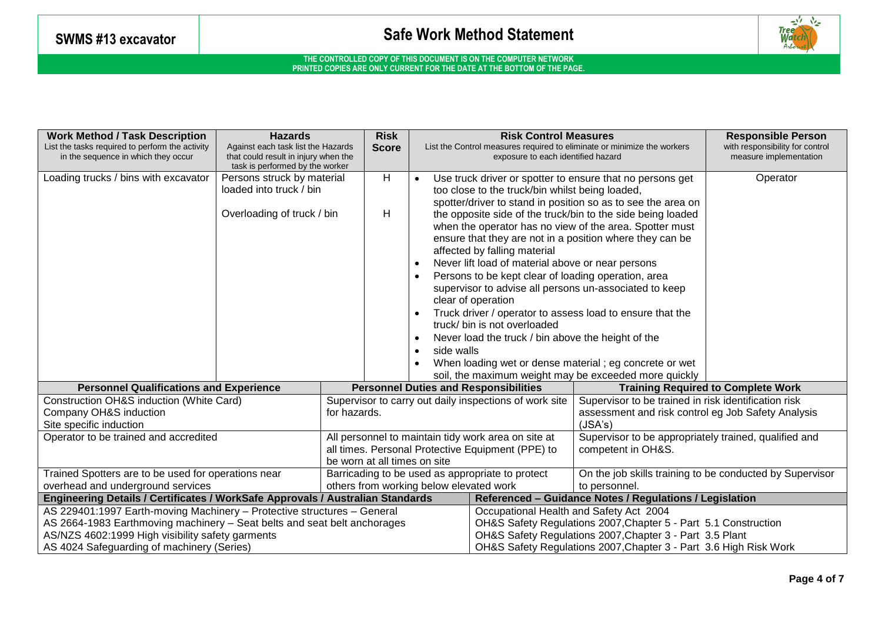

| <b>Work Method / Task Description</b><br><b>Hazards</b><br>List the tasks required to perform the activity<br>Against each task list the Hazards<br>in the sequence in which they occur<br>that could result in injury when the |                            |                                                        | <b>Risk</b><br><b>Score</b>                                                                                                              |                                                                   |                                                                                                                                                                                                                                                                                                                                                                                                                                                                                                                                                                                                                                           | <b>Risk Control Measures</b><br>exposure to each identified hazard                                                                                                           | List the Control measures required to eliminate or minimize the workers     | <b>Responsible Person</b><br>with responsibility for control<br>measure implementation |  |
|---------------------------------------------------------------------------------------------------------------------------------------------------------------------------------------------------------------------------------|----------------------------|--------------------------------------------------------|------------------------------------------------------------------------------------------------------------------------------------------|-------------------------------------------------------------------|-------------------------------------------------------------------------------------------------------------------------------------------------------------------------------------------------------------------------------------------------------------------------------------------------------------------------------------------------------------------------------------------------------------------------------------------------------------------------------------------------------------------------------------------------------------------------------------------------------------------------------------------|------------------------------------------------------------------------------------------------------------------------------------------------------------------------------|-----------------------------------------------------------------------------|----------------------------------------------------------------------------------------|--|
| task is performed by the worker<br>Loading trucks / bins with excavator<br>Persons struck by material<br>loaded into truck / bin                                                                                                |                            |                                                        | H                                                                                                                                        |                                                                   |                                                                                                                                                                                                                                                                                                                                                                                                                                                                                                                                                                                                                                           | Use truck driver or spotter to ensure that no persons get<br>too close to the truck/bin whilst being loaded,<br>spotter/driver to stand in position so as to see the area on |                                                                             | Operator                                                                               |  |
|                                                                                                                                                                                                                                 | Overloading of truck / bin |                                                        | H                                                                                                                                        |                                                                   | the opposite side of the truck/bin to the side being loaded<br>when the operator has no view of the area. Spotter must<br>ensure that they are not in a position where they can be<br>affected by falling material<br>Never lift load of material above or near persons<br>Persons to be kept clear of loading operation, area<br>supervisor to advise all persons un-associated to keep<br>clear of operation<br>Truck driver / operator to assess load to ensure that the<br>truck/ bin is not overloaded<br>Never load the truck / bin above the height of the<br>side walls<br>When loading wet or dense material; eg concrete or wet |                                                                                                                                                                              |                                                                             |                                                                                        |  |
| <b>Personnel Qualifications and Experience</b>                                                                                                                                                                                  |                            |                                                        |                                                                                                                                          |                                                                   |                                                                                                                                                                                                                                                                                                                                                                                                                                                                                                                                                                                                                                           | <b>Personnel Duties and Responsibilities</b>                                                                                                                                 | soil, the maximum weight may be exceeded more quickly                       | <b>Training Required to Complete Work</b>                                              |  |
| Construction OH&S induction (White Card)                                                                                                                                                                                        |                            | Supervisor to carry out daily inspections of work site |                                                                                                                                          |                                                                   |                                                                                                                                                                                                                                                                                                                                                                                                                                                                                                                                                                                                                                           |                                                                                                                                                                              | Supervisor to be trained in risk identification risk                        |                                                                                        |  |
| Company OH&S induction<br>Site specific induction                                                                                                                                                                               |                            |                                                        | for hazards.                                                                                                                             |                                                                   |                                                                                                                                                                                                                                                                                                                                                                                                                                                                                                                                                                                                                                           | assessment and risk control eg Job Safety Analysis<br>(JSA's)                                                                                                                |                                                                             |                                                                                        |  |
| Operator to be trained and accredited                                                                                                                                                                                           |                            |                                                        | All personnel to maintain tidy work area on site at<br>all times. Personal Protective Equipment (PPE) to<br>be worn at all times on site |                                                                   |                                                                                                                                                                                                                                                                                                                                                                                                                                                                                                                                                                                                                                           |                                                                                                                                                                              | Supervisor to be appropriately trained, qualified and<br>competent in OH&S. |                                                                                        |  |
| Trained Spotters are to be used for operations near                                                                                                                                                                             |                            |                                                        |                                                                                                                                          |                                                                   |                                                                                                                                                                                                                                                                                                                                                                                                                                                                                                                                                                                                                                           | Barricading to be used as appropriate to protect                                                                                                                             |                                                                             | On the job skills training to be conducted by Supervisor                               |  |
| overhead and underground services                                                                                                                                                                                               |                            |                                                        | others from working below elevated work                                                                                                  |                                                                   |                                                                                                                                                                                                                                                                                                                                                                                                                                                                                                                                                                                                                                           | to personnel.                                                                                                                                                                |                                                                             |                                                                                        |  |
| Engineering Details / Certificates / WorkSafe Approvals / Australian Standards                                                                                                                                                  |                            |                                                        |                                                                                                                                          |                                                                   |                                                                                                                                                                                                                                                                                                                                                                                                                                                                                                                                                                                                                                           | Referenced - Guidance Notes / Regulations / Legislation                                                                                                                      |                                                                             |                                                                                        |  |
| AS 229401:1997 Earth-moving Machinery - Protective structures - General                                                                                                                                                         |                            |                                                        |                                                                                                                                          | Occupational Health and Safety Act 2004                           |                                                                                                                                                                                                                                                                                                                                                                                                                                                                                                                                                                                                                                           |                                                                                                                                                                              |                                                                             |                                                                                        |  |
| AS 2664-1983 Earthmoving machinery – Seat belts and seat belt anchorages                                                                                                                                                        |                            |                                                        |                                                                                                                                          |                                                                   |                                                                                                                                                                                                                                                                                                                                                                                                                                                                                                                                                                                                                                           | OH&S Safety Regulations 2007, Chapter 5 - Part 5.1 Construction                                                                                                              |                                                                             |                                                                                        |  |
| AS/NZS 4602:1999 High visibility safety garments                                                                                                                                                                                |                            |                                                        |                                                                                                                                          |                                                                   |                                                                                                                                                                                                                                                                                                                                                                                                                                                                                                                                                                                                                                           | OH&S Safety Regulations 2007, Chapter 3 - Part 3.5 Plant                                                                                                                     |                                                                             |                                                                                        |  |
| AS 4024 Safeguarding of machinery (Series)                                                                                                                                                                                      |                            |                                                        |                                                                                                                                          | OH&S Safety Regulations 2007, Chapter 3 - Part 3.6 High Risk Work |                                                                                                                                                                                                                                                                                                                                                                                                                                                                                                                                                                                                                                           |                                                                                                                                                                              |                                                                             |                                                                                        |  |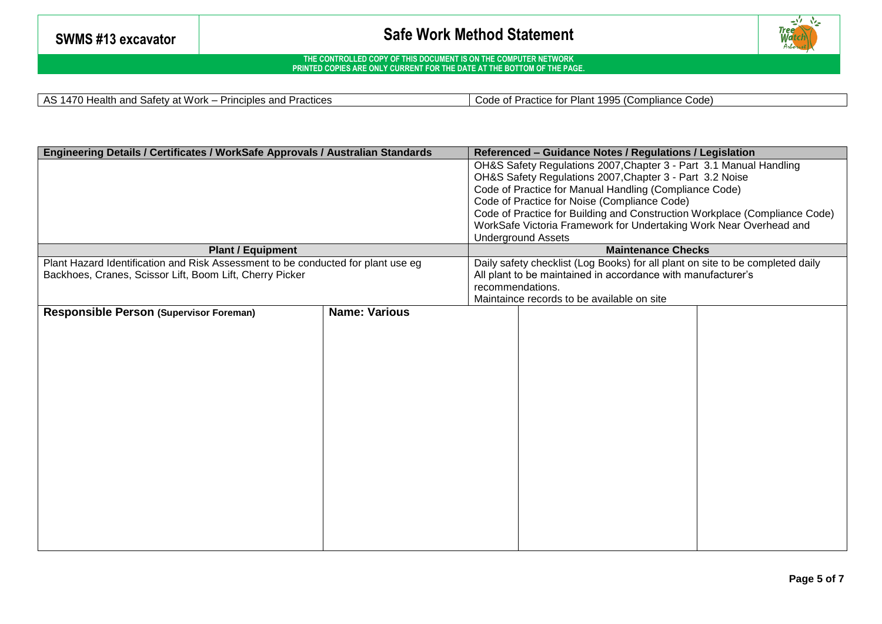

**THE CONTROLLED COPY OF THIS DOCUMENT IS ON THE COMPUTER NETWORK PRINTED COPIES ARE ONLY CURRENT FOR THE DATE AT THE BOTTOM OF THE PAGE.**

AS 1470 Health and Safety at Work – Principles and Practices Code Code of Practice for Plant 1995 (Compliance Code)

| Engineering Details / Certificates / WorkSafe Approvals / Australian Standards   |                      |                                                                    | Referenced - Guidance Notes / Regulations / Legislation                        |  |  |  |
|----------------------------------------------------------------------------------|----------------------|--------------------------------------------------------------------|--------------------------------------------------------------------------------|--|--|--|
|                                                                                  |                      |                                                                    | OH&S Safety Regulations 2007, Chapter 3 - Part 3.1 Manual Handling             |  |  |  |
|                                                                                  |                      | OH&S Safety Regulations 2007, Chapter 3 - Part 3.2 Noise           |                                                                                |  |  |  |
|                                                                                  |                      | Code of Practice for Manual Handling (Compliance Code)             |                                                                                |  |  |  |
|                                                                                  |                      |                                                                    | Code of Practice for Noise (Compliance Code)                                   |  |  |  |
|                                                                                  |                      |                                                                    | Code of Practice for Building and Construction Workplace (Compliance Code)     |  |  |  |
|                                                                                  |                      | WorkSafe Victoria Framework for Undertaking Work Near Overhead and |                                                                                |  |  |  |
|                                                                                  |                      | <b>Underground Assets</b>                                          |                                                                                |  |  |  |
| <b>Plant / Equipment</b>                                                         |                      |                                                                    | <b>Maintenance Checks</b>                                                      |  |  |  |
| Plant Hazard Identification and Risk Assessment to be conducted for plant use eg |                      |                                                                    | Daily safety checklist (Log Books) for all plant on site to be completed daily |  |  |  |
| Backhoes, Cranes, Scissor Lift, Boom Lift, Cherry Picker                         |                      |                                                                    | All plant to be maintained in accordance with manufacturer's                   |  |  |  |
|                                                                                  |                      |                                                                    | recommendations.                                                               |  |  |  |
|                                                                                  |                      |                                                                    | Maintaince records to be available on site                                     |  |  |  |
| <b>Responsible Person (Supervisor Foreman)</b>                                   | <b>Name: Various</b> |                                                                    |                                                                                |  |  |  |
|                                                                                  |                      |                                                                    |                                                                                |  |  |  |
|                                                                                  |                      |                                                                    |                                                                                |  |  |  |
|                                                                                  |                      |                                                                    |                                                                                |  |  |  |
|                                                                                  |                      |                                                                    |                                                                                |  |  |  |
|                                                                                  |                      |                                                                    |                                                                                |  |  |  |
|                                                                                  |                      |                                                                    |                                                                                |  |  |  |
|                                                                                  |                      |                                                                    |                                                                                |  |  |  |
|                                                                                  |                      |                                                                    |                                                                                |  |  |  |
|                                                                                  |                      |                                                                    |                                                                                |  |  |  |
|                                                                                  |                      |                                                                    |                                                                                |  |  |  |
|                                                                                  |                      |                                                                    |                                                                                |  |  |  |
|                                                                                  |                      |                                                                    |                                                                                |  |  |  |
|                                                                                  |                      |                                                                    |                                                                                |  |  |  |
|                                                                                  |                      |                                                                    |                                                                                |  |  |  |
|                                                                                  |                      |                                                                    |                                                                                |  |  |  |
|                                                                                  |                      |                                                                    |                                                                                |  |  |  |
|                                                                                  |                      |                                                                    |                                                                                |  |  |  |
|                                                                                  |                      |                                                                    |                                                                                |  |  |  |
|                                                                                  |                      |                                                                    |                                                                                |  |  |  |
|                                                                                  |                      |                                                                    |                                                                                |  |  |  |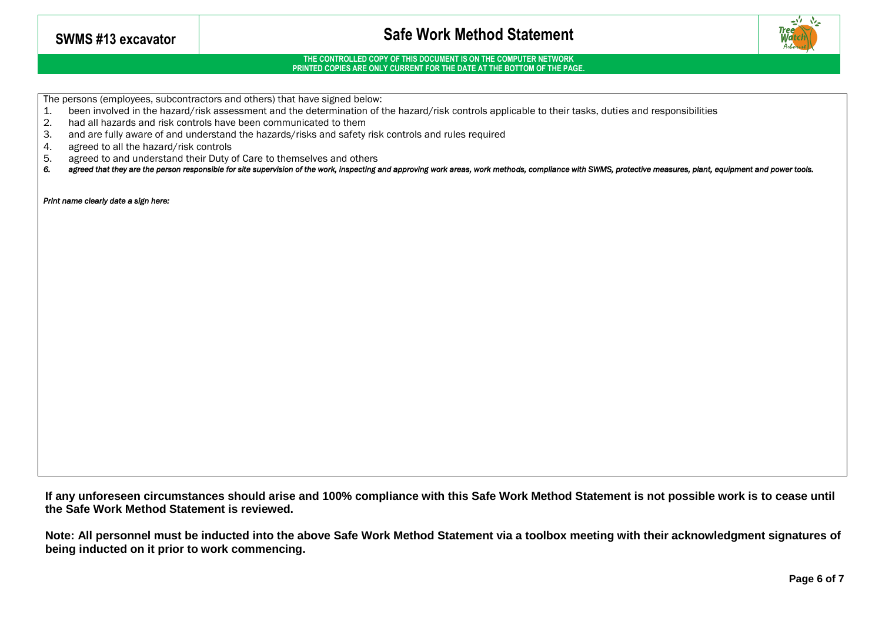

#### **THE CONTROLLED COPY OF THIS DOCUMENT IS ON THE COMPUTER NETWORK PRINTED COPIES ARE ONLY CURRENT FOR THE DATE AT THE BOTTOM OF THE PAGE.**

The persons (employees, subcontractors and others) that have signed below:

- 1. been involved in the hazard/risk assessment and the determination of the hazard/risk controls applicable to their tasks, duties and responsibilities
- 2. had all hazards and risk controls have been communicated to them
- 3. and are fully aware of and understand the hazards/risks and safety risk controls and rules required
- 4. agreed to all the hazard/risk controls<br>5. agreed to and understand their Duty
- 5. agreed to and understand their Duty of Care to themselves and others<br>6. agreed that they are the person responsible for site supervision of the work, inspecting
- agreed that they are the person responsible for site supervision of the work, inspecting and approving work areas, work methods, compliance with SWMS, protective measures, plant, equipment and power tools.

*Print name clearly date a sign here:* 

**If any unforeseen circumstances should arise and 100% compliance with this Safe Work Method Statement is not possible work is to cease until the Safe Work Method Statement is reviewed.**

**Note: All personnel must be inducted into the above Safe Work Method Statement via a toolbox meeting with their acknowledgment signatures of being inducted on it prior to work commencing.**